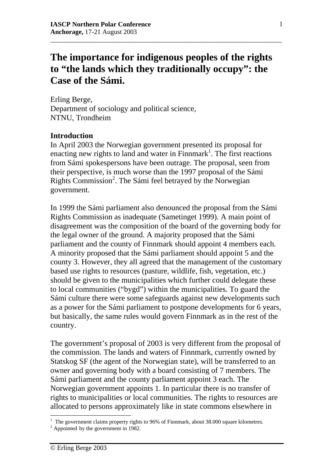# **The importance for indigenous peoples of the rights to "the lands which they traditionally occupy": the Case of the Sámi.**

\_\_\_\_\_\_\_\_\_\_\_\_\_\_\_\_\_\_\_\_\_\_\_\_\_\_\_\_\_\_\_\_\_\_\_\_\_\_\_\_\_\_\_\_\_\_\_\_\_\_\_\_\_\_\_\_\_\_\_\_\_\_\_\_\_\_\_\_\_

Erling Berge, Department of sociology and political science, NTNU, Trondheim

### **Introduction**

In April 2003 the Norwegian government presented its proposal for enacting new rights to land and water in  $F$ innmark<sup>1</sup>. The first reactions from Sámi spokespersons have been outrage. The proposal, seen from their perspective, is much worse than the 1997 proposal of the Sámi Rights Commission<sup>2</sup>. The Sámi feel betrayed by the Norwegian government.

In 1999 the Sámi parliament also denounced the proposal from the Sámi Rights Commission as inadequate (Sametinget 1999). A main point of disagreement was the composition of the board of the governing body for the legal owner of the ground. A majority proposed that the Sámi parliament and the county of Finnmark should appoint 4 members each. A minority proposed that the Sámi parliament should appoint 5 and the county 3. However, they all agreed that the management of the customary based use rights to resources (pasture, wildlife, fish, vegetation, etc.) should be given to the municipalities which further could delegate these to local communities ("bygd") within the municipalities. To guard the Sámi culture there were some safeguards against new developments such as a power for the Sámi parliament to postpone developments for 6 years, but basically, the same rules would govern Finnmark as in the rest of the country.

The government's proposal of 2003 is very different from the proposal of the commission. The lands and waters of Finnmark, currently owned by Statskog SF (the agent of the Norwegian state), will be transferred to an owner and governing body with a board consisting of 7 members. The Sámi parliament and the county parliament appoint 3 each. The Norwegian government appoints 1. In particular there is no transfer of rights to municipalities or local communities. The rights to resources are allocated to persons approximately like in state commons elsewhere in

<sup>&</sup>lt;sup>1</sup> The government claims property rights to 96% of Finnmark, about 38.000 square kilometres.

<sup>&</sup>lt;sup>2</sup> Appointed by the government in 1982.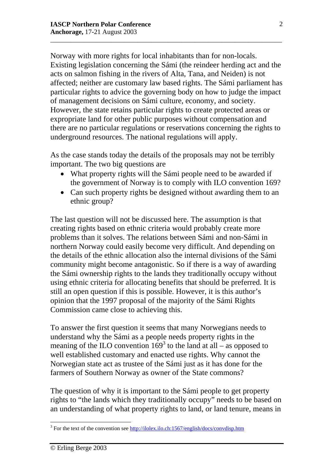Norway with more rights for local inhabitants than for non-locals. Existing legislation concerning the Sámi (the reindeer herding act and the acts on salmon fishing in the rivers of Alta, Tana, and Neiden) is not affected; neither are customary law based rights. The Sámi parliament has particular rights to advice the governing body on how to judge the impact of management decisions on Sámi culture, economy, and society. However, the state retains particular rights to create protected areas or expropriate land for other public purposes without compensation and there are no particular regulations or reservations concerning the rights to underground resources. The national regulations will apply.

\_\_\_\_\_\_\_\_\_\_\_\_\_\_\_\_\_\_\_\_\_\_\_\_\_\_\_\_\_\_\_\_\_\_\_\_\_\_\_\_\_\_\_\_\_\_\_\_\_\_\_\_\_\_\_\_\_\_\_\_\_\_\_\_\_\_\_\_\_

As the case stands today the details of the proposals may not be terribly important. The two big questions are

- What property rights will the Sámi people need to be awarded if the government of Norway is to comply with ILO convention 169?
- Can such property rights be designed without awarding them to an ethnic group?

The last question will not be discussed here. The assumption is that creating rights based on ethnic criteria would probably create more problems than it solves. The relations between Sámi and non-Sámi in northern Norway could easily become very difficult. And depending on the details of the ethnic allocation also the internal divisions of the Sámi community might become antagonistic. So if there is a way of awarding the Sámi ownership rights to the lands they traditionally occupy without using ethnic criteria for allocating benefits that should be preferred. It is still an open question if this is possible. However, it is this author's opinion that the 1997 proposal of the majority of the Sámi Rights Commission came close to achieving this.

To answer the first question it seems that many Norwegians needs to understand why the Sámi as a people needs property rights in the meaning of the ILO convention  $169<sup>3</sup>$  to the land at all – as opposed to well established customary and enacted use rights. Why cannot the Norwegian state act as trustee of the Sámi just as it has done for the farmers of Southern Norway as owner of the State commons?

The question of why it is important to the Sámi people to get property rights to "the lands which they traditionally occupy" needs to be based on an understanding of what property rights to land, or land tenure, means in

<sup>&</sup>lt;sup>3</sup> For the text of the convention see http://ilolex.ilo.ch:1567/english/docs/convdisp.htm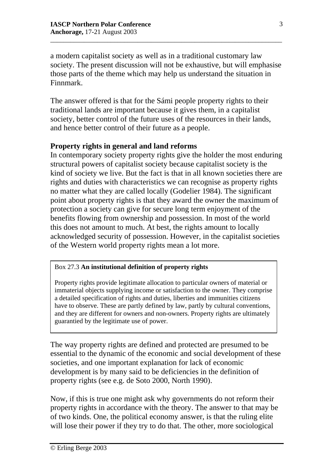a modern capitalist society as well as in a traditional customary law society. The present discussion will not be exhaustive, but will emphasise those parts of the theme which may help us understand the situation in Finnmark.

\_\_\_\_\_\_\_\_\_\_\_\_\_\_\_\_\_\_\_\_\_\_\_\_\_\_\_\_\_\_\_\_\_\_\_\_\_\_\_\_\_\_\_\_\_\_\_\_\_\_\_\_\_\_\_\_\_\_\_\_\_\_\_\_\_\_\_\_\_

The answer offered is that for the Sámi people property rights to their traditional lands are important because it gives them, in a capitalist society, better control of the future uses of the resources in their lands, and hence better control of their future as a people.

## **Property rights in general and land reforms**

In contemporary society property rights give the holder the most enduring structural powers of capitalist society because capitalist society is the kind of society we live. But the fact is that in all known societies there are rights and duties with characteristics we can recognise as property rights no matter what they are called locally (Godelier 1984). The significant point about property rights is that they award the owner the maximum of protection a society can give for secure long term enjoyment of the benefits flowing from ownership and possession. In most of the world this does not amount to much. At best, the rights amount to locally acknowledged security of possession. However, in the capitalist societies of the Western world property rights mean a lot more.

### Box 27.3 **An institutional definition of property rights**

Property rights provide legitimate allocation to particular owners of material or immaterial objects supplying income or satisfaction to the owner. They comprise a detailed specification of rights and duties, liberties and immunities citizens have to observe. These are partly defined by law, partly by cultural conventions, and they are different for owners and non-owners. Property rights are ultimately guarantied by the legitimate use of power.

The way property rights are defined and protected are presumed to be essential to the dynamic of the economic and social development of these societies, and one important explanation for lack of economic development is by many said to be deficiencies in the definition of property rights (see e.g. de Soto 2000, North 1990).

Now, if this is true one might ask why governments do not reform their property rights in accordance with the theory. The answer to that may be of two kinds. One, the political economy answer, is that the ruling elite will lose their power if they try to do that. The other, more sociological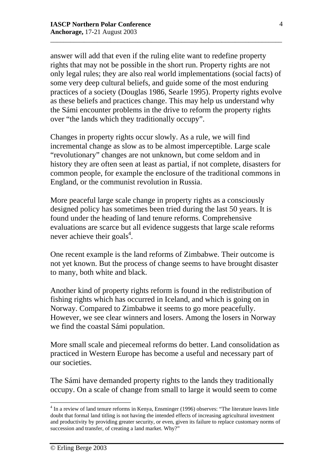answer will add that even if the ruling elite want to redefine property rights that may not be possible in the short run. Property rights are not only legal rules; they are also real world implementations (social facts) of some very deep cultural beliefs, and guide some of the most enduring practices of a society (Douglas 1986, Searle 1995). Property rights evolve as these beliefs and practices change. This may help us understand why the Sámi encounter problems in the drive to reform the property rights over "the lands which they traditionally occupy".

\_\_\_\_\_\_\_\_\_\_\_\_\_\_\_\_\_\_\_\_\_\_\_\_\_\_\_\_\_\_\_\_\_\_\_\_\_\_\_\_\_\_\_\_\_\_\_\_\_\_\_\_\_\_\_\_\_\_\_\_\_\_\_\_\_\_\_\_\_

Changes in property rights occur slowly. As a rule, we will find incremental change as slow as to be almost imperceptible. Large scale "revolutionary" changes are not unknown, but come seldom and in history they are often seen at least as partial, if not complete, disasters for common people, for example the enclosure of the traditional commons in England, or the communist revolution in Russia.

More peaceful large scale change in property rights as a consciously designed policy has sometimes been tried during the last 50 years. It is found under the heading of land tenure reforms. Comprehensive evaluations are scarce but all evidence suggests that large scale reforms never achieve their goals<sup>4</sup>.

One recent example is the land reforms of Zimbabwe. Their outcome is not yet known. But the process of change seems to have brought disaster to many, both white and black.

Another kind of property rights reform is found in the redistribution of fishing rights which has occurred in Iceland, and which is going on in Norway. Compared to Zimbabwe it seems to go more peacefully. However, we see clear winners and losers. Among the losers in Norway we find the coastal Sámi population.

More small scale and piecemeal reforms do better. Land consolidation as practiced in Western Europe has become a useful and necessary part of our societies.

The Sámi have demanded property rights to the lands they traditionally occupy. On a scale of change from small to large it would seem to come

<sup>&</sup>lt;sup>4</sup> In a review of land tenure reforms in Kenya, Ensminger (1996) observes: "The literature leaves little doubt that formal land titling is not having the intended effects of increasing agricultural investment and productivity by providing greater security, or even, given its failure to replace customary norms of succession and transfer, of creating a land market. Why?"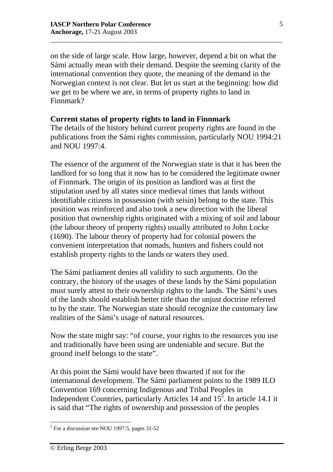on the side of large scale. How large, however, depend a bit on what the Sámi actually mean with their demand. Despite the seeming clarity of the international convention they quote, the meaning of the demand in the Norwegian context is not clear. But let us start at the beginning: how did we get to be where we are, in terms of property rights to land in Finnmark?

\_\_\_\_\_\_\_\_\_\_\_\_\_\_\_\_\_\_\_\_\_\_\_\_\_\_\_\_\_\_\_\_\_\_\_\_\_\_\_\_\_\_\_\_\_\_\_\_\_\_\_\_\_\_\_\_\_\_\_\_\_\_\_\_\_\_\_\_\_

### **Current status of property rights to land in Finnmark**

The details of the history behind current property rights are found in the publications from the Sámi rights commission, particularly NOU 1994:21 and NOU 1997:4.

The essence of the argument of the Norwegian state is that it has been the landlord for so long that it now has to be considered the legitimate owner of Finnmark. The origin of its position as landlord was at first the stipulation used by all states since medieval times that lands without identifiable citizens in possession (with seisin) belong to the state. This position was reinforced and also took a new direction with the liberal position that ownership rights originated with a mixing of soil and labour (the labour theory of property rights) usually attributed to John Locke (1690). The labour theory of property had for colonial powers the convenient interpretation that nomads, hunters and fishers could not establish property rights to the lands or waters they used.

The Sámi parliament denies all validity to such arguments. On the contrary, the history of the usages of these lands by the Sámi population must surely attest to their ownership rights to the lands. The Sámi's uses of the lands should establish better title than the unjust doctrine referred to by the state. The Norwegian state should recognize the customary law realities of the Sámi's usage of natural resources.

Now the state might say: "of course, your rights to the resources you use and traditionally have been using are undeniable and secure. But the ground itself belongs to the state".

At this point the Sámi would have been thwarted if not for the international development. The Sámi parliament points to the 1989 ILO Convention 169 concerning Indigenous and Tribal Peoples in Independent Countries, particularly Articles 14 and  $15^5$ . In article 14.1 it is said that "The rights of ownership and possession of the peoples

 5 For a discussion see NOU 1997:5, pages 31-52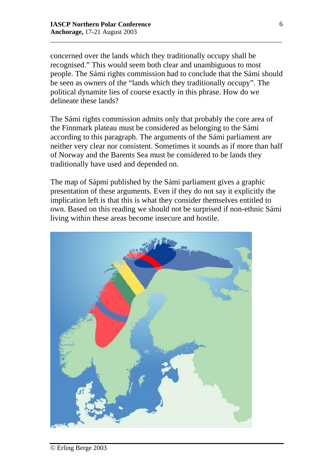concerned over the lands which they traditionally occupy shall be recognised." This would seem both clear and unambiguous to most people. The Sámi rights commission had to conclude that the Sámi should be seen as owners of the "lands which they traditionally occupy". The political dynamite lies of course exactly in this phrase. How do we delineate these lands?

\_\_\_\_\_\_\_\_\_\_\_\_\_\_\_\_\_\_\_\_\_\_\_\_\_\_\_\_\_\_\_\_\_\_\_\_\_\_\_\_\_\_\_\_\_\_\_\_\_\_\_\_\_\_\_\_\_\_\_\_\_\_\_\_\_\_\_\_\_

The Sámi rights commission admits only that probably the core area of the Finnmark plateau must be considered as belonging to the Sámi according to this paragraph. The arguments of the Sámi parliament are neither very clear nor consistent. Sometimes it sounds as if more than half of Norway and the Barents Sea must be considered to be lands they traditionally have used and depended on.

The map of Sápmi published by the Sámi parliament gives a graphic presentation of these arguments. Even if they do not say it explicitly the implication left is that this is what they consider themselves entitled to own. Based on this reading we should not be surprised if non-ethnic Sámi living within these areas become insecure and hostile.

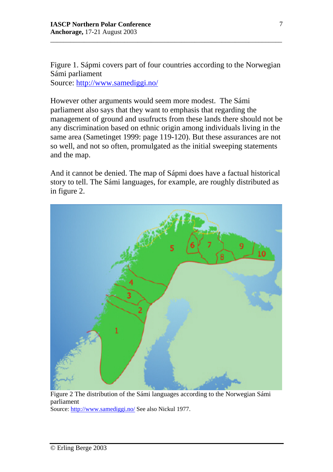Figure 1. Sápmi covers part of four countries according to the Norwegian Sámi parliament

\_\_\_\_\_\_\_\_\_\_\_\_\_\_\_\_\_\_\_\_\_\_\_\_\_\_\_\_\_\_\_\_\_\_\_\_\_\_\_\_\_\_\_\_\_\_\_\_\_\_\_\_\_\_\_\_\_\_\_\_\_\_\_\_\_\_\_\_\_

Source: http://www.samediggi.no/

However other arguments would seem more modest. The Sámi parliament also says that they want to emphasis that regarding the management of ground and usufructs from these lands there should not be any discrimination based on ethnic origin among individuals living in the same area (Sametinget 1999: page 119-120). But these assurances are not so well, and not so often, promulgated as the initial sweeping statements and the map.

And it cannot be denied. The map of Sápmi does have a factual historical story to tell. The Sámi languages, for example, are roughly distributed as in figure 2.



Figure 2 The distribution of the Sámi languages according to the Norwegian Sámi parliament

Source: http://www.samediggi.no/ See also Nickul 1977.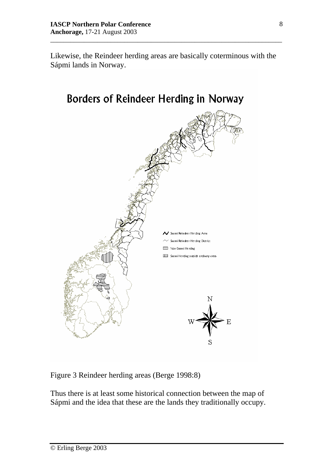Likewise, the Reindeer herding areas are basically coterminous with the Sápmi lands in Norway.

\_\_\_\_\_\_\_\_\_\_\_\_\_\_\_\_\_\_\_\_\_\_\_\_\_\_\_\_\_\_\_\_\_\_\_\_\_\_\_\_\_\_\_\_\_\_\_\_\_\_\_\_\_\_\_\_\_\_\_\_\_\_\_\_\_\_\_\_\_



Figure 3 Reindeer herding areas (Berge 1998:8)

Thus there is at least some historical connection between the map of Sápmi and the idea that these are the lands they traditionally occupy.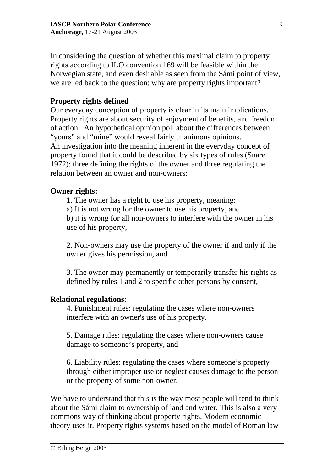In considering the question of whether this maximal claim to property rights according to ILO convention 169 will be feasible within the Norwegian state, and even desirable as seen from the Sámi point of view, we are led back to the question: why are property rights important?

\_\_\_\_\_\_\_\_\_\_\_\_\_\_\_\_\_\_\_\_\_\_\_\_\_\_\_\_\_\_\_\_\_\_\_\_\_\_\_\_\_\_\_\_\_\_\_\_\_\_\_\_\_\_\_\_\_\_\_\_\_\_\_\_\_\_\_\_\_

# **Property rights defined**

Our everyday conception of property is clear in its main implications. Property rights are about security of enjoyment of benefits, and freedom of action. An hypothetical opinion poll about the differences between "yours" and "mine" would reveal fairly unanimous opinions. An investigation into the meaning inherent in the everyday concept of property found that it could be described by six types of rules (Snare 1972): three defining the rights of the owner and three regulating the relation between an owner and non-owners:

### **Owner rights:**

1. The owner has a right to use his property, meaning:

a) It is not wrong for the owner to use his property, and

b) it is wrong for all non-owners to interfere with the owner in his use of his property,

2. Non-owners may use the property of the owner if and only if the owner gives his permission, and

3. The owner may permanently or temporarily transfer his rights as defined by rules 1 and 2 to specific other persons by consent,

### **Relational regulations**:

4. Punishment rules: regulating the cases where non-owners interfere with an owner's use of his property.

5. Damage rules: regulating the cases where non-owners cause damage to someone's property, and

6. Liability rules: regulating the cases where someone's property through either improper use or neglect causes damage to the person or the property of some non-owner.

We have to understand that this is the way most people will tend to think about the Sámi claim to ownership of land and water. This is also a very commons way of thinking about property rights. Modern economic theory uses it. Property rights systems based on the model of Roman law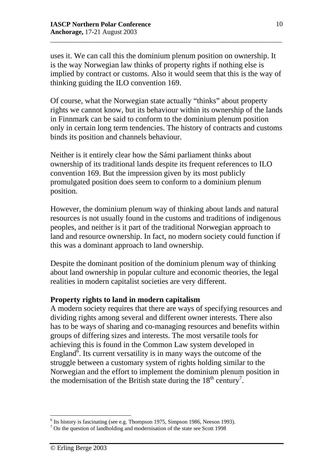uses it. We can call this the dominium plenum position on ownership. It is the way Norwegian law thinks of property rights if nothing else is implied by contract or customs. Also it would seem that this is the way of thinking guiding the ILO convention 169.

\_\_\_\_\_\_\_\_\_\_\_\_\_\_\_\_\_\_\_\_\_\_\_\_\_\_\_\_\_\_\_\_\_\_\_\_\_\_\_\_\_\_\_\_\_\_\_\_\_\_\_\_\_\_\_\_\_\_\_\_\_\_\_\_\_\_\_\_\_

Of course, what the Norwegian state actually "thinks" about property rights we cannot know, but its behaviour within its ownership of the lands in Finnmark can be said to conform to the dominium plenum position only in certain long term tendencies. The history of contracts and customs binds its position and channels behaviour.

Neither is it entirely clear how the Sámi parliament thinks about ownership of its traditional lands despite its frequent references to ILO convention 169. But the impression given by its most publicly promulgated position does seem to conform to a dominium plenum position.

However, the dominium plenum way of thinking about lands and natural resources is not usually found in the customs and traditions of indigenous peoples, and neither is it part of the traditional Norwegian approach to land and resource ownership. In fact, no modern society could function if this was a dominant approach to land ownership.

Despite the dominant position of the dominium plenum way of thinking about land ownership in popular culture and economic theories, the legal realities in modern capitalist societies are very different.

### **Property rights to land in modern capitalism**

A modern society requires that there are ways of specifying resources and dividing rights among several and different owner interests. There also has to be ways of sharing and co-managing resources and benefits within groups of differing sizes and interests. The most versatile tools for achieving this is found in the Common Law system developed in England<sup> $\vec{\delta}$ </sup>. Its current versatility is in many ways the outcome of the struggle between a customary system of rights holding similar to the Norwegian and the effort to implement the dominium plenum position in the modernisation of the British state during the  $18<sup>th</sup>$  century<sup>7</sup>.

 $<sup>6</sup>$  Its history is fascinating (see e.g. Thompson 1975, Simpson 1986, Neeson 1993).</sup>

<sup>&</sup>lt;sup>7</sup> On the question of landholding and modernisation of the state see Scott 1998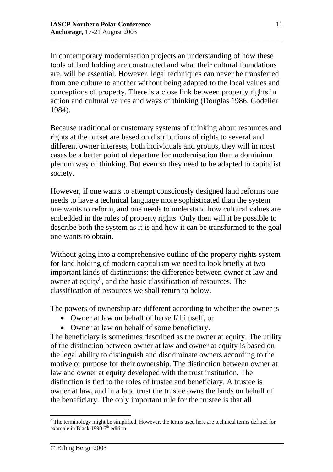In contemporary modernisation projects an understanding of how these tools of land holding are constructed and what their cultural foundations are, will be essential. However, legal techniques can never be transferred from one culture to another without being adapted to the local values and conceptions of property. There is a close link between property rights in action and cultural values and ways of thinking (Douglas 1986, Godelier 1984).

\_\_\_\_\_\_\_\_\_\_\_\_\_\_\_\_\_\_\_\_\_\_\_\_\_\_\_\_\_\_\_\_\_\_\_\_\_\_\_\_\_\_\_\_\_\_\_\_\_\_\_\_\_\_\_\_\_\_\_\_\_\_\_\_\_\_\_\_\_

Because traditional or customary systems of thinking about resources and rights at the outset are based on distributions of rights to several and different owner interests, both individuals and groups, they will in most cases be a better point of departure for modernisation than a dominium plenum way of thinking. But even so they need to be adapted to capitalist society.

However, if one wants to attempt consciously designed land reforms one needs to have a technical language more sophisticated than the system one wants to reform, and one needs to understand how cultural values are embedded in the rules of property rights. Only then will it be possible to describe both the system as it is and how it can be transformed to the goal one wants to obtain.

Without going into a comprehensive outline of the property rights system for land holding of modern capitalism we need to look briefly at two important kinds of distinctions: the difference between owner at law and owner at equity<sup>8</sup>, and the basic classification of resources. The classification of resources we shall return to below.

The powers of ownership are different according to whether the owner is

- Owner at law on behalf of herself/ himself, or
- Owner at law on behalf of some beneficiary.

The beneficiary is sometimes described as the owner at equity. The utility of the distinction between owner at law and owner at equity is based on the legal ability to distinguish and discriminate owners according to the motive or purpose for their ownership. The distinction between owner at law and owner at equity developed with the trust institution. The distinction is tied to the roles of trustee and beneficiary. A trustee is owner at law, and in a land trust the trustee owns the lands on behalf of the beneficiary. The only important rule for the trustee is that all

 $\overline{a}$  $8$  The terminology might be simplified. However, the terms used here are technical terms defined for example in Black 1990  $6<sup>th</sup>$  edition.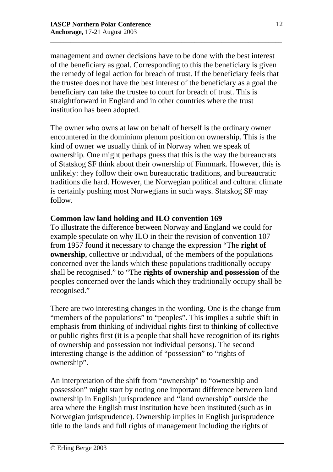management and owner decisions have to be done with the best interest of the beneficiary as goal. Corresponding to this the beneficiary is given the remedy of legal action for breach of trust. If the beneficiary feels that the trustee does not have the best interest of the beneficiary as a goal the beneficiary can take the trustee to court for breach of trust. This is straightforward in England and in other countries where the trust institution has been adopted.

\_\_\_\_\_\_\_\_\_\_\_\_\_\_\_\_\_\_\_\_\_\_\_\_\_\_\_\_\_\_\_\_\_\_\_\_\_\_\_\_\_\_\_\_\_\_\_\_\_\_\_\_\_\_\_\_\_\_\_\_\_\_\_\_\_\_\_\_\_

The owner who owns at law on behalf of herself is the ordinary owner encountered in the dominium plenum position on ownership. This is the kind of owner we usually think of in Norway when we speak of ownership. One might perhaps guess that this is the way the bureaucrats of Statskog SF think about their ownership of Finnmark. However, this is unlikely: they follow their own bureaucratic traditions, and bureaucratic traditions die hard. However, the Norwegian political and cultural climate is certainly pushing most Norwegians in such ways. Statskog SF may follow.

### **Common law land holding and ILO convention 169**

To illustrate the difference between Norway and England we could for example speculate on why ILO in their the revision of convention 107 from 1957 found it necessary to change the expression "The **right of ownership**, collective or individual, of the members of the populations concerned over the lands which these populations traditionally occupy shall be recognised." to "The **rights of ownership and possession** of the peoples concerned over the lands which they traditionally occupy shall be recognised."

There are two interesting changes in the wording. One is the change from "members of the populations" to "peoples". This implies a subtle shift in emphasis from thinking of individual rights first to thinking of collective or public rights first (it is a people that shall have recognition of its rights of ownership and possession not individual persons). The second interesting change is the addition of "possession" to "rights of ownership".

An interpretation of the shift from "ownership" to "ownership and possession" might start by noting one important difference between land ownership in English jurisprudence and "land ownership" outside the area where the English trust institution have been instituted (such as in Norwegian jurisprudence). Ownership implies in English jurisprudence title to the lands and full rights of management including the rights of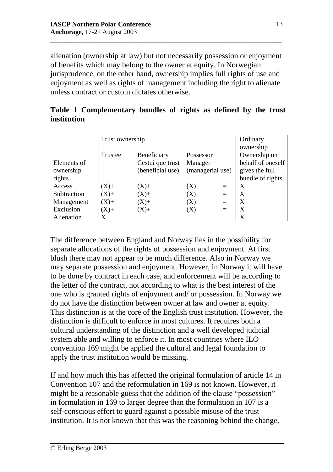alienation (ownership at law) but not necessarily possession or enjoyment of benefits which may belong to the owner at equity. In Norwegian jurisprudence, on the other hand, ownership implies full rights of use and enjoyment as well as rights of management including the right to alienate unless contract or custom dictates otherwise.

\_\_\_\_\_\_\_\_\_\_\_\_\_\_\_\_\_\_\_\_\_\_\_\_\_\_\_\_\_\_\_\_\_\_\_\_\_\_\_\_\_\_\_\_\_\_\_\_\_\_\_\_\_\_\_\_\_\_\_\_\_\_\_\_\_\_\_\_\_

|             | Table 1 Complementary bundles of rights as defined by the trust |  |  |  |  |
|-------------|-----------------------------------------------------------------|--|--|--|--|
| institution |                                                                 |  |  |  |  |

|             | Trust ownership | Ordinary         |                  |          |                   |  |
|-------------|-----------------|------------------|------------------|----------|-------------------|--|
|             |                 |                  |                  |          | ownership         |  |
|             | Trustee         | Beneficiary      | Possessor        |          | Ownership on      |  |
| Elements of |                 | Cestui que trust | Manager          |          | behalf of oneself |  |
| ownership   |                 | (beneficial use) | (managerial use) |          | gives the full    |  |
| rights      |                 |                  |                  |          | bundle of rights  |  |
| Access      | $(X)+$          | $(X)+$           | $\rm(X)$         | $=$      | X                 |  |
| Subtraction | $(X)+$          | $(X)+$           | (X)              | $\equiv$ | X                 |  |
| Management  | $(X)+$          | $(X)+$           | $\rm(X)$         | $=$      | X                 |  |
| Exclusion   | $(X)+$          | $(X)+$           | $(\rm X)$        | $=$      | X                 |  |
| Alienation  | X               |                  |                  |          | X                 |  |

The difference between England and Norway lies in the possibility for separate allocations of the rights of possession and enjoyment. At first blush there may not appear to be much difference. Also in Norway we may separate possession and enjoyment. However, in Norway it will have to be done by contract in each case, and enforcement will be according to the letter of the contract, not according to what is the best interest of the one who is granted rights of enjoyment and/ or possession. In Norway we do not have the distinction between owner at law and owner at equity. This distinction is at the core of the English trust institution. However, the distinction is difficult to enforce in most cultures. It requires both a cultural understanding of the distinction and a well developed judicial system able and willing to enforce it. In most countries where ILO convention 169 might be applied the cultural and legal foundation to apply the trust institution would be missing.

If and how much this has affected the original formulation of article 14 in Convention 107 and the reformulation in 169 is not known. However, it might be a reasonable guess that the addition of the clause "possession" in formulation in 169 to larger degree than the formulation in 107 is a self-conscious effort to guard against a possible misuse of the trust institution. It is not known that this was the reasoning behind the change,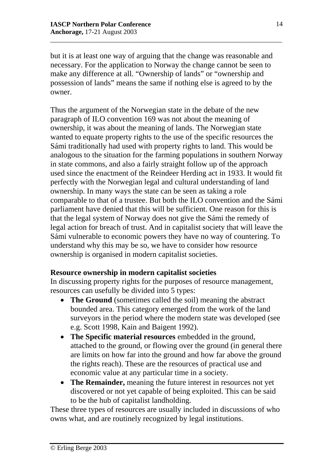but it is at least one way of arguing that the change was reasonable and necessary. For the application to Norway the change cannot be seen to make any difference at all. "Ownership of lands" or "ownership and possession of lands" means the same if nothing else is agreed to by the owner.

\_\_\_\_\_\_\_\_\_\_\_\_\_\_\_\_\_\_\_\_\_\_\_\_\_\_\_\_\_\_\_\_\_\_\_\_\_\_\_\_\_\_\_\_\_\_\_\_\_\_\_\_\_\_\_\_\_\_\_\_\_\_\_\_\_\_\_\_\_

Thus the argument of the Norwegian state in the debate of the new paragraph of ILO convention 169 was not about the meaning of ownership, it was about the meaning of lands. The Norwegian state wanted to equate property rights to the use of the specific resources the Sámi traditionally had used with property rights to land. This would be analogous to the situation for the farming populations in southern Norway in state commons, and also a fairly straight follow up of the approach used since the enactment of the Reindeer Herding act in 1933. It would fit perfectly with the Norwegian legal and cultural understanding of land ownership. In many ways the state can be seen as taking a role comparable to that of a trustee. But both the ILO convention and the Sámi parliament have denied that this will be sufficient. One reason for this is that the legal system of Norway does not give the Sámi the remedy of legal action for breach of trust. And in capitalist society that will leave the Sámi vulnerable to economic powers they have no way of countering. To understand why this may be so, we have to consider how resource ownership is organised in modern capitalist societies.

# **Resource ownership in modern capitalist societies**

In discussing property rights for the purposes of resource management, resources can usefully be divided into 5 types:

- **The Ground** (sometimes called the soil) meaning the abstract bounded area. This category emerged from the work of the land surveyors in the period where the modern state was developed (see e.g. Scott 1998, Kain and Baigent 1992).
- **The Specific material resources** embedded in the ground, attached to the ground, or flowing over the ground (in general there are limits on how far into the ground and how far above the ground the rights reach). These are the resources of practical use and economic value at any particular time in a society.
- **The Remainder,** meaning the future interest in resources not yet discovered or not yet capable of being exploited. This can be said to be the hub of capitalist landholding.

These three types of resources are usually included in discussions of who owns what, and are routinely recognized by legal institutions.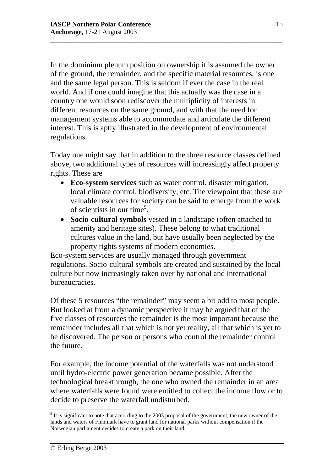In the dominium plenum position on ownership it is assumed the owner of the ground, the remainder, and the specific material resources, is one and the same legal person. This is seldom if ever the case in the real world. And if one could imagine that this actually was the case in a country one would soon rediscover the multiplicity of interests in different resources on the same ground, and with that the need for management systems able to accommodate and articulate the different interest. This is aptly illustrated in the development of environmental regulations.

\_\_\_\_\_\_\_\_\_\_\_\_\_\_\_\_\_\_\_\_\_\_\_\_\_\_\_\_\_\_\_\_\_\_\_\_\_\_\_\_\_\_\_\_\_\_\_\_\_\_\_\_\_\_\_\_\_\_\_\_\_\_\_\_\_\_\_\_\_

Today one might say that in addition to the three resource classes defined above, two additional types of resources will increasingly affect property rights. These are

- **Eco-system services** such as water control, disaster mitigation, local climate control, biodiversity, etc. The viewpoint that these are valuable resources for society can be said to emerge from the work of scientists in our time<sup>9</sup>.
- **Socio-cultural symbols** vested in a landscape (often attached to amenity and heritage sites). These belong to what traditional cultures value in the land, but have usually been neglected by the property rights systems of modern economies.

Eco-system services are usually managed through government regulations. Socio-cultural symbols are created and sustained by the local culture but now increasingly taken over by national and international bureaucracies.

Of these 5 resources "the remainder" may seem a bit odd to most people. But looked at from a dynamic perspective it may be argued that of the five classes of resources the remainder is the most important because the remainder includes all that which is not yet reality, all that which is yet to be discovered. The person or persons who control the remainder control the future.

For example, the income potential of the waterfalls was not understood until hydro-electric power generation became possible. After the technological breakthrough, the one who owned the remainder in an area where waterfalls were found were entitled to collect the income flow or to decide to preserve the waterfall undisturbed.

 $9$  It is significant to note that according to the 2003 proposal of the government, the new owner of the lands and waters of Finnmark have to grant land for national parks without compensation if the Norwegian parliament decides to create a park on their land.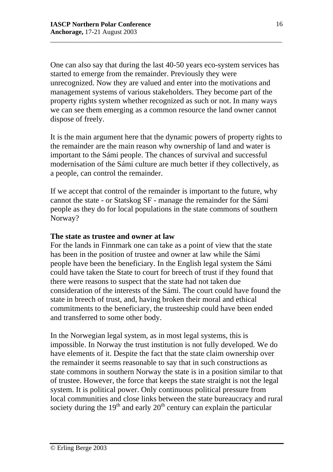One can also say that during the last 40-50 years eco-system services has started to emerge from the remainder. Previously they were unrecognized. Now they are valued and enter into the motivations and management systems of various stakeholders. They become part of the property rights system whether recognized as such or not. In many ways we can see them emerging as a common resource the land owner cannot dispose of freely.

\_\_\_\_\_\_\_\_\_\_\_\_\_\_\_\_\_\_\_\_\_\_\_\_\_\_\_\_\_\_\_\_\_\_\_\_\_\_\_\_\_\_\_\_\_\_\_\_\_\_\_\_\_\_\_\_\_\_\_\_\_\_\_\_\_\_\_\_\_

It is the main argument here that the dynamic powers of property rights to the remainder are the main reason why ownership of land and water is important to the Sámi people. The chances of survival and successful modernisation of the Sámi culture are much better if they collectively, as a people, can control the remainder.

If we accept that control of the remainder is important to the future, why cannot the state - or Statskog SF - manage the remainder for the Sámi people as they do for local populations in the state commons of southern Norway?

### **The state as trustee and owner at law**

For the lands in Finnmark one can take as a point of view that the state has been in the position of trustee and owner at law while the Sámi people have been the beneficiary. In the English legal system the Sámi could have taken the State to court for breech of trust if they found that there were reasons to suspect that the state had not taken due consideration of the interests of the Sámi. The court could have found the state in breech of trust, and, having broken their moral and ethical commitments to the beneficiary, the trusteeship could have been ended and transferred to some other body.

In the Norwegian legal system, as in most legal systems, this is impossible. In Norway the trust institution is not fully developed. We do have elements of it. Despite the fact that the state claim ownership over the remainder it seems reasonable to say that in such constructions as state commons in southern Norway the state is in a position similar to that of trustee. However, the force that keeps the state straight is not the legal system. It is political power. Only continuous political pressure from local communities and close links between the state bureaucracy and rural society during the  $19<sup>th</sup>$  and early  $20<sup>th</sup>$  century can explain the particular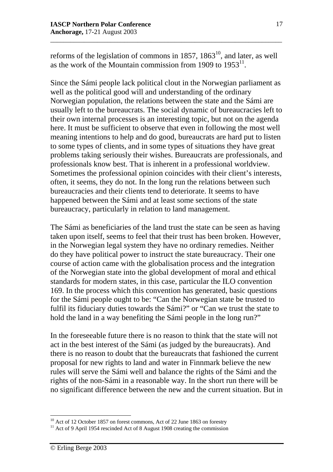reforms of the legislation of commons in 1857, 1863<sup>10</sup>, and later, as well as the work of the Mountain commission from 1909 to  $1953<sup>11</sup>$ .

\_\_\_\_\_\_\_\_\_\_\_\_\_\_\_\_\_\_\_\_\_\_\_\_\_\_\_\_\_\_\_\_\_\_\_\_\_\_\_\_\_\_\_\_\_\_\_\_\_\_\_\_\_\_\_\_\_\_\_\_\_\_\_\_\_\_\_\_\_

Since the Sámi people lack political clout in the Norwegian parliament as well as the political good will and understanding of the ordinary Norwegian population, the relations between the state and the Sámi are usually left to the bureaucrats. The social dynamic of bureaucracies left to their own internal processes is an interesting topic, but not on the agenda here. It must be sufficient to observe that even in following the most well meaning intentions to help and do good, bureaucrats are hard put to listen to some types of clients, and in some types of situations they have great problems taking seriously their wishes. Bureaucrats are professionals, and professionals know best. That is inherent in a professional worldview. Sometimes the professional opinion coincides with their client's interests, often, it seems, they do not. In the long run the relations between such bureaucracies and their clients tend to deteriorate. It seems to have happened between the Sámi and at least some sections of the state bureaucracy, particularly in relation to land management.

The Sámi as beneficiaries of the land trust the state can be seen as having taken upon itself, seems to feel that their trust has been broken. However, in the Norwegian legal system they have no ordinary remedies. Neither do they have political power to instruct the state bureaucracy. Their one course of action came with the globalisation process and the integration of the Norwegian state into the global development of moral and ethical standards for modern states, in this case, particular the ILO convention 169. In the process which this convention has generated, basic questions for the Sámi people ought to be: "Can the Norwegian state be trusted to fulfil its fiduciary duties towards the Sámi?" or "Can we trust the state to hold the land in a way benefiting the Sámi people in the long run?"

In the foreseeable future there is no reason to think that the state will not act in the best interest of the Sámi (as judged by the bureaucrats). And there is no reason to doubt that the bureaucrats that fashioned the current proposal for new rights to land and water in Finnmark believe the new rules will serve the Sámi well and balance the rights of the Sámi and the rights of the non-Sámi in a reasonable way. In the short run there will be no significant difference between the new and the current situation. But in

 $\overline{a}$  $10<sup>10</sup>$  Act of 12 October 1857 on forest commons, Act of 22 June 1863 on forestry

 $11$  Act of 9 April 1954 rescinded Act of 8 August 1908 creating the commission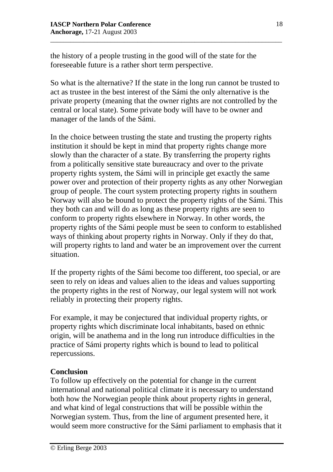the history of a people trusting in the good will of the state for the foreseeable future is a rather short term perspective.

So what is the alternative? If the state in the long run cannot be trusted to act as trustee in the best interest of the Sámi the only alternative is the private property (meaning that the owner rights are not controlled by the central or local state). Some private body will have to be owner and manager of the lands of the Sámi.

\_\_\_\_\_\_\_\_\_\_\_\_\_\_\_\_\_\_\_\_\_\_\_\_\_\_\_\_\_\_\_\_\_\_\_\_\_\_\_\_\_\_\_\_\_\_\_\_\_\_\_\_\_\_\_\_\_\_\_\_\_\_\_\_\_\_\_\_\_

In the choice between trusting the state and trusting the property rights institution it should be kept in mind that property rights change more slowly than the character of a state. By transferring the property rights from a politically sensitive state bureaucracy and over to the private property rights system, the Sámi will in principle get exactly the same power over and protection of their property rights as any other Norwegian group of people. The court system protecting property rights in southern Norway will also be bound to protect the property rights of the Sámi. This they both can and will do as long as these property rights are seen to conform to property rights elsewhere in Norway. In other words, the property rights of the Sámi people must be seen to conform to established ways of thinking about property rights in Norway. Only if they do that, will property rights to land and water be an improvement over the current situation.

If the property rights of the Sámi become too different, too special, or are seen to rely on ideas and values alien to the ideas and values supporting the property rights in the rest of Norway, our legal system will not work reliably in protecting their property rights.

For example, it may be conjectured that individual property rights, or property rights which discriminate local inhabitants, based on ethnic origin, will be anathema and in the long run introduce difficulties in the practice of Sámi property rights which is bound to lead to political repercussions.

# **Conclusion**

To follow up effectively on the potential for change in the current international and national political climate it is necessary to understand both how the Norwegian people think about property rights in general, and what kind of legal constructions that will be possible within the Norwegian system. Thus, from the line of argument presented here, it would seem more constructive for the Sámi parliament to emphasis that it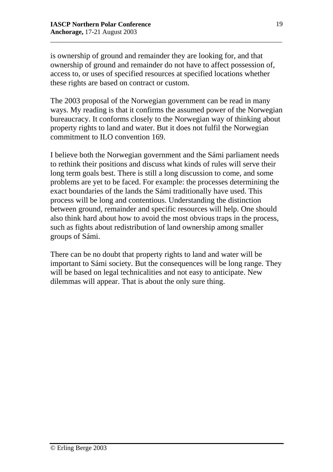is ownership of ground and remainder they are looking for, and that ownership of ground and remainder do not have to affect possession of, access to, or uses of specified resources at specified locations whether these rights are based on contract or custom.

\_\_\_\_\_\_\_\_\_\_\_\_\_\_\_\_\_\_\_\_\_\_\_\_\_\_\_\_\_\_\_\_\_\_\_\_\_\_\_\_\_\_\_\_\_\_\_\_\_\_\_\_\_\_\_\_\_\_\_\_\_\_\_\_\_\_\_\_\_

The 2003 proposal of the Norwegian government can be read in many ways. My reading is that it confirms the assumed power of the Norwegian bureaucracy. It conforms closely to the Norwegian way of thinking about property rights to land and water. But it does not fulfil the Norwegian commitment to ILO convention 169.

I believe both the Norwegian government and the Sámi parliament needs to rethink their positions and discuss what kinds of rules will serve their long term goals best. There is still a long discussion to come, and some problems are yet to be faced. For example: the processes determining the exact boundaries of the lands the Sámi traditionally have used. This process will be long and contentious. Understanding the distinction between ground, remainder and specific resources will help. One should also think hard about how to avoid the most obvious traps in the process, such as fights about redistribution of land ownership among smaller groups of Sámi.

There can be no doubt that property rights to land and water will be important to Sámi society. But the consequences will be long range. They will be based on legal technicalities and not easy to anticipate. New dilemmas will appear. That is about the only sure thing.